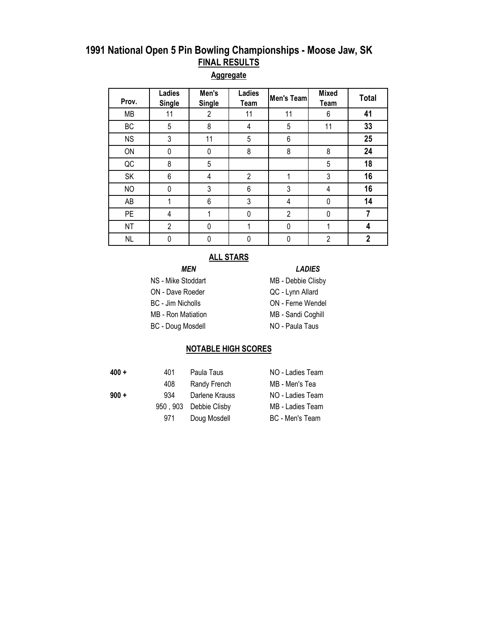#### **Aggregate**

| Prov.     | Ladies<br><b>Single</b> | Men's<br><b>Single</b> | Ladies<br>Team | Men's Team     | <b>Mixed</b><br>Team | <b>Total</b> |
|-----------|-------------------------|------------------------|----------------|----------------|----------------------|--------------|
| MB        | 11                      | $\overline{2}$         | 11             | 11             | 6                    | 41           |
| BC        | 5                       | 8                      | 4              | 5              | 11                   | 33           |
| <b>NS</b> | 3                       | 11                     | 5              | 6              |                      | 25           |
| ON        | 0                       | 0                      | 8              | 8              | 8                    | 24           |
| QC        | 8                       | 5                      |                |                | 5                    | 18           |
| SK        | 6                       | 4                      | $\overline{2}$ | 1              | 3                    | 16           |
| <b>NO</b> | 0                       | 3                      | 6              | 3              | 4                    | 16           |
| AB        |                         | 6                      | 3              | 4              | 0                    | 14           |
| <b>PE</b> | 4                       |                        | 0              | $\overline{2}$ | 0                    | 7            |
| <b>NT</b> | $\overline{2}$          | 0                      |                | 0              |                      | 4            |
| <b>NL</b> | 0                       | 0                      |                | 0              | $\overline{2}$       | $\mathbf 2$  |

#### **ALL STARS**

#### *MEN LADIES*

- NS Mike Stoddart MB Debbie Clisby
- ON Dave Roeder Gastro CC Lynn Allard

BC - Jim Nicholls **ON** - Ferne Wendel

- MB Ron Matiation MB Sandi Coghill
- BC Doug Mosdell NO Paula Taus
- 
- 
- -

#### **NOTABLE HIGH SCORES**

- 
- -
- **400 +** 401 Paula Taus NO Ladies Team 408 Randy French MB - Men's Tea **900 +** 934 Darlene Krauss NO - Ladies Team 950, 903 Debbie Clisby MB - Ladies Team 971 Doug Mosdell BC - Men's Team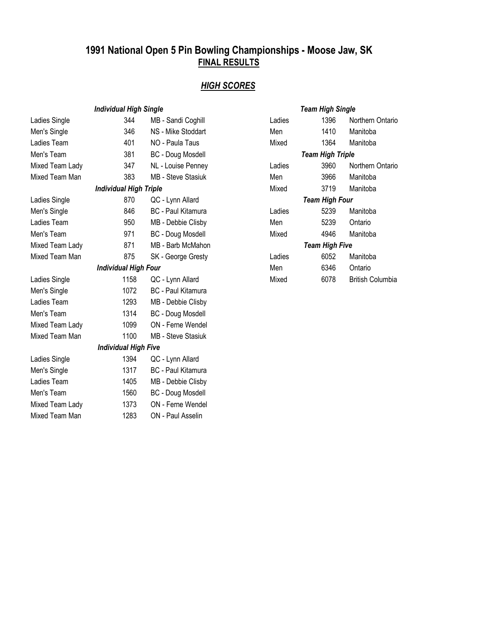## *HIGH SCORES*

| <b>Individual High Single</b> |                               |                           | <b>Team High Single</b> |                         |                         |  |
|-------------------------------|-------------------------------|---------------------------|-------------------------|-------------------------|-------------------------|--|
| Ladies Single                 | 344                           | MB - Sandi Coghill        | Ladies                  | 1396                    | Northern Ontario        |  |
| Men's Single                  | 346                           | NS - Mike Stoddart        | Men                     | 1410                    | Manitoba                |  |
| Ladies Team                   | 401                           | NO - Paula Taus           | Mixed                   | 1364                    | Manitoba                |  |
| Men's Team                    | 381                           | <b>BC</b> - Doug Mosdell  |                         | <b>Team High Triple</b> |                         |  |
| Mixed Team Lady               | 347                           | NL - Louise Penney        | Ladies                  | 3960                    | Northern Ontario        |  |
| Mixed Team Man                | 383                           | MB - Steve Stasiuk        | Men                     | 3966                    | Manitoba                |  |
|                               | <b>Individual High Triple</b> |                           | Mixed                   | 3719                    | Manitoba                |  |
| Ladies Single                 | 870                           | QC - Lynn Allard          |                         | <b>Team High Four</b>   |                         |  |
| Men's Single                  | 846                           | <b>BC</b> - Paul Kitamura | Ladies                  | 5239                    | Manitoba                |  |
| Ladies Team                   | 950                           | MB - Debbie Clisby        | Men                     | 5239                    | Ontario                 |  |
| Men's Team                    | 971                           | <b>BC</b> - Doug Mosdell  | Mixed                   | 4946                    | Manitoba                |  |
| Mixed Team Lady               | 871                           | MB - Barb McMahon         | <b>Team High Five</b>   |                         |                         |  |
| Mixed Team Man                | 875                           | SK - George Gresty        | Ladies                  | 6052                    | Manitoba                |  |
|                               | <b>Individual High Four</b>   |                           | Men                     | 6346                    | Ontario                 |  |
| Ladies Single                 | 1158                          | QC - Lynn Allard          | Mixed                   | 6078                    | <b>British Columbia</b> |  |
| Men's Single                  | 1072                          | <b>BC</b> - Paul Kitamura |                         |                         |                         |  |
| Ladies Team                   | 1293                          | MB - Debbie Clisby        |                         |                         |                         |  |
| Men's Team                    | 1314                          | <b>BC</b> - Doug Mosdell  |                         |                         |                         |  |
| Mixed Team Lady               | 1099                          | ON - Ferne Wendel         |                         |                         |                         |  |
| Mixed Team Man                | 1100                          | <b>MB</b> - Steve Stasiuk |                         |                         |                         |  |
|                               | <b>Individual High Five</b>   |                           |                         |                         |                         |  |
| Ladies Single                 | 1394                          | QC - Lynn Allard          |                         |                         |                         |  |
| Men's Single                  | 1317                          | <b>BC</b> - Paul Kitamura |                         |                         |                         |  |
| Ladies Team                   | 1405                          | MB - Debbie Clisby        |                         |                         |                         |  |
| Men's Team                    | 1560                          | <b>BC</b> - Doug Mosdell  |                         |                         |                         |  |
| Mixed Team Lady               | 1373                          | ON - Ferne Wendel         |                         |                         |                         |  |
| Mixed Team Man                | 1283                          | ON - Paul Asselin         |                         |                         |                         |  |

|                         | Team High Single      |                  |  |  |  |
|-------------------------|-----------------------|------------------|--|--|--|
| Ladies                  | 1396                  | Northern Ontario |  |  |  |
| Men                     | 1410                  | Manitoba         |  |  |  |
| Mixed                   | 1364                  | Manitoba         |  |  |  |
| <b>Team High Triple</b> |                       |                  |  |  |  |
| Ladies                  | 3960                  | Northern Ontario |  |  |  |
| Men                     | 3966                  | Manitoba         |  |  |  |
| Mixed                   | 3719                  | Manitoba         |  |  |  |
|                         | Team High Four        |                  |  |  |  |
| Ladies                  | 5239                  | Manitoba         |  |  |  |
| Men                     | 5239                  | Ontario          |  |  |  |
| Mixed                   | 4946                  | Manitoba         |  |  |  |
|                         | <b>Team High Five</b> |                  |  |  |  |
| Ladies                  | 6052                  | Manitoba         |  |  |  |
| Men                     | 6346                  | Ontario          |  |  |  |
| Mixed                   | 6078                  | British Columbia |  |  |  |
|                         |                       |                  |  |  |  |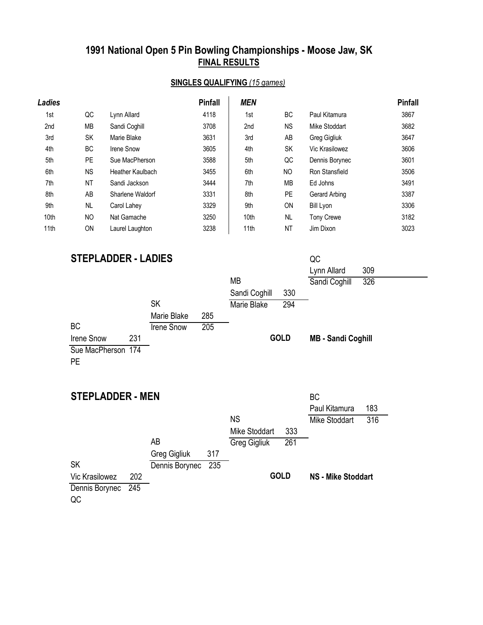### **SINGLES QUALIFYING** *(15 games)*

| Ladies |           |                  | <b>Pinfall</b> | <b>MEN</b> |                |                   | <b>Pinfall</b> |
|--------|-----------|------------------|----------------|------------|----------------|-------------------|----------------|
| 1st    | QC        | Lynn Allard      | 4118           | 1st        | <b>BC</b>      | Paul Kitamura     | 3867           |
| 2nd    | MВ        | Sandi Coghill    | 3708           | 2nd        | ΝS             | Mike Stoddart     | 3682           |
| 3rd    | SK        | Marie Blake      | 3631           | 3rd        | AB             | Greg Gigliuk      | 3647           |
| 4th    | ВC        | Irene Snow       | 3605           | 4th        | SK             | Vic Krasilowez    | 3606           |
| 5th    | PE        | Sue MacPherson   | 3588           | 5th        | QC             | Dennis Borynec    | 3601           |
| 6th    | <b>NS</b> | Heather Kaulbach | 3455           | 6th        | N <sub>O</sub> | Ron Stansfield    | 3506           |
| 7th    | NT        | Sandi Jackson    | 3444           | 7th        | МB             | Ed Johns          | 3491           |
| 8th    | AB        | Sharlene Waldorf | 3331           | 8th        | <b>PE</b>      | Gerard Arbing     | 3387           |
| 9th    | <b>NL</b> | Carol Lahey      | 3329           | 9th        | <b>ON</b>      | Bill Lyon         | 3306           |
| 10th   | <b>NO</b> | Nat Gamache      | 3250           | 10th       | NL             | <b>Tony Crewe</b> | 3182           |
| 11th   | ON        | Laurel Laughton  | 3238           | 11th       | NT             | Jim Dixon         | 3023           |

# **STEPLADDER - LADIES** QC

|                          |                       |                      | 309<br>Lynn Allard        |
|--------------------------|-----------------------|----------------------|---------------------------|
|                          |                       | MB                   | Sandi Coghill<br>326      |
|                          |                       | 330<br>Sandi Coghill |                           |
|                          | <b>SK</b>             | 294<br>Marie Blake   |                           |
|                          | Marie Blake<br>285    |                      |                           |
| BC                       | Irene Snow<br>205     |                      |                           |
| 231<br><b>Irene Snow</b> |                       | <b>GOLD</b>          | <b>MB - Sandi Coghill</b> |
| Sue MacPherson 174       |                       |                      |                           |
| <b>PE</b>                |                       |                      |                           |
|                          |                       |                      |                           |
|                          |                       |                      |                           |
| <b>STEPLADDER - MEN</b>  |                       |                      | <b>BC</b>                 |
|                          |                       |                      | Paul Kitamura<br>183      |
|                          |                       | <b>NS</b>            | Mike Stoddart<br>316      |
|                          |                       | Mike Stoddart<br>333 |                           |
|                          | AB                    | 261<br>Greg Gigliuk  |                           |
|                          | Greg Gigliuk<br>317   |                      |                           |
| <b>SK</b>                | 235<br>Dennis Borynec |                      |                           |
| Vic Krasilowez<br>202    |                       | <b>GOLD</b>          | <b>NS - Mike Stoddart</b> |
| 245<br>Dennis Borynec    |                       |                      |                           |
|                          |                       |                      |                           |

QC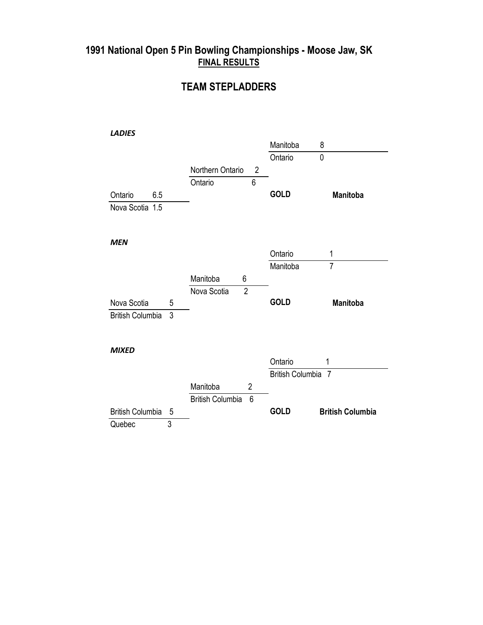### **TEAM STEPLADDERS**

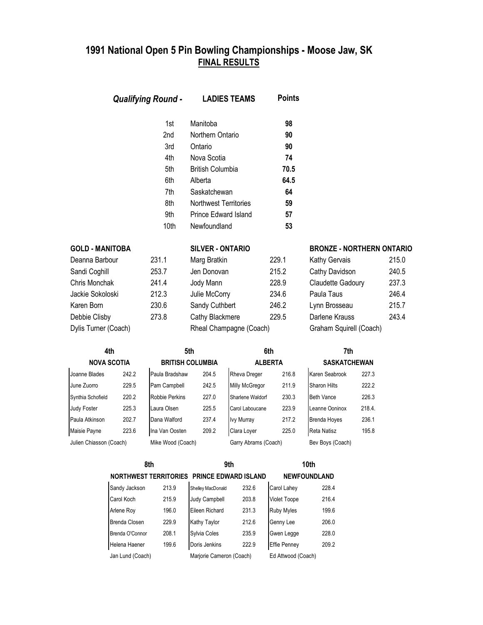|                        | <b>Qualifying Round -</b> | <b>LADIES TEAMS</b>          | <b>Points</b> |                                  |       |
|------------------------|---------------------------|------------------------------|---------------|----------------------------------|-------|
|                        | 1st                       | Manitoba                     | 98            |                                  |       |
|                        | 2nd                       | Northern Ontario             | 90            |                                  |       |
|                        | 3rd                       | Ontario                      | 90            |                                  |       |
|                        | 4th                       | Nova Scotia                  | 74            |                                  |       |
|                        | 5th                       | <b>British Columbia</b>      | 70.5          |                                  |       |
|                        | 6th                       | Alberta                      | 64.5          |                                  |       |
|                        | 7th                       | Saskatchewan                 | 64            |                                  |       |
|                        | 8th                       | <b>Northwest Territories</b> | 59            |                                  |       |
|                        | 9th                       | <b>Prince Edward Island</b>  | 57            |                                  |       |
|                        | 10th                      | Newfoundland                 | 53            |                                  |       |
| <b>GOLD - MANITOBA</b> |                           | <b>SILVER - ONTARIO</b>      |               | <b>BRONZE - NORTHERN ONTARIO</b> |       |
| Deanna Barbour         | 231.1                     | Marg Bratkin                 | 229.1         | Kathy Gervais                    | 215.0 |
| Sandi Coghill          | 253.7                     | Jen Donovan                  | 215.2         | Cathy Davidson                   | 240.5 |
| Chris Monchak          | 241.4                     | Jody Mann                    | 228.9         | Claudette Gadoury                | 237.3 |

| Deanna Barbour       |  |
|----------------------|--|
| Sandi Coghill        |  |
| Chris Monchak        |  |
| Jackie Sokoloski     |  |
| Karen Born           |  |
| Debbie Clisby        |  |
| Dylis Turner (Coach) |  |

| <b>UULU - MANIIUDA</b> |       | <b>SILVER - UNIARIU</b> |       | <b>DRUNAE - NURIFIERN</b> |
|------------------------|-------|-------------------------|-------|---------------------------|
| Deanna Barbour         | 231.1 | Marg Bratkin            | 229.1 | Kathy Gervais             |
| Sandi Coghill          | 253.7 | Jen Donovan             | 215.2 | Cathy Davidson            |
| Chris Monchak          | 241.4 | Jody Mann               | 228.9 | Claudette Gadoury         |
| Jackie Sokoloski       | 212.3 | Julie McCorry           | 234.6 | Paula Taus                |
| Karen Born             | 230.6 | Sandy Cuthbert          | 246.2 | Lynn Brosseau             |
| Debbie Clisby          | 273.8 | Cathy Blackmere         | 229.5 | Darlene Krauss            |
| Dylis Turner (Coach)   |       | Rheal Champagne (Coach) |       | Graham Squirell (Coach)   |
|                        |       |                         |       |                           |

| Deanna Barbour       | 231.1 | Marg Bratkin            | 229.1 | <b>Kathy Gervais</b>    | 215.0 |
|----------------------|-------|-------------------------|-------|-------------------------|-------|
| Sandi Coghill        | 253.7 | Jen Donovan             | 215.2 | Cathy Davidson          | 240.5 |
| Chris Monchak        | 241.4 | Jody Mann               | 228.9 | Claudette Gadoury       | 237.3 |
| Jackie Sokoloski     | 212.3 | Julie McCorry           | 234.6 | Paula Taus              | 246.4 |
| Karen Born           | 230.6 | Sandy Cuthbert          | 246.2 | Lynn Brosseau           | 215.7 |
| Debbie Clisby        | 273.8 | Cathy Blackmere         | 229.5 | Darlene Krauss          | 243.4 |
| Dylis Turner (Coach) |       | Rheal Champagne (Coach) |       | Graham Squirell (Coach) |       |

| 4th                     |       | 5th                     |       |                      | 6th   | 7th                 |        |
|-------------------------|-------|-------------------------|-------|----------------------|-------|---------------------|--------|
| <b>NOVA SCOTIA</b>      |       | <b>BRITISH COLUMBIA</b> |       | <b>ALBERTA</b>       |       | <b>SASKATCHEWAN</b> |        |
| Joanne Blades           | 242.2 | Paula Bradshaw          | 204.5 | <b>Rheva Dreger</b>  | 216.8 | Karen Seabrook      | 227.3  |
| June Zuorro             | 229.5 | Pam Campbell            | 242.5 | Milly McGregor       | 211.9 | Sharon Hilts        | 222.2  |
| Synthia Schofield       | 220.2 | Robbie Perkins          | 227.0 | Sharlene Waldorf     | 230.3 | <b>Beth Vance</b>   | 226.3  |
| Judy Foster             | 225.3 | Laura Olsen             | 225.5 | Carol Laboucane      | 223.9 | Leanne Ooninox      | 218.4. |
| Paula Atkinson          | 202.7 | Dana Walford            | 237.4 | <b>Ivy Murray</b>    | 217.2 | <b>Brenda Hoves</b> | 236.1  |
| Maisie Payne            | 223.6 | Ina Van Oosten          | 209.2 | Clara Loyer          | 225.0 | <b>Reta Natisz</b>  | 195.8  |
| Julien Chiasson (Coach) |       | Mike Wood (Coach)       |       | Garry Abrams (Coach) |       | Bev Boys (Coach)    |        |
|                         |       |                         |       |                      |       |                     |        |

| 7 LH 1              |       |  |  |  |
|---------------------|-------|--|--|--|
| <b>SASKATCHEWAN</b> |       |  |  |  |
| en Seabrook         | 227.3 |  |  |  |
| aron Hilts          | 222 2 |  |  |  |
| h Vance             | 226.3 |  |  |  |

| <b>Beth Vance</b>   | 226. |
|---------------------|------|
| Leanne Ooninox      | 218. |
| <b>Brenda Hoyes</b> | 236. |
| <b>Reta Natisz</b>  | 195  |
| Bev Boys (Coach)    |      |
|                     |      |

|                  | 8th                          | 9th                         |       | 10th                |       |  |
|------------------|------------------------------|-----------------------------|-------|---------------------|-------|--|
|                  | <b>NORTHWEST TERRITORIES</b> | <b>PRINCE EDWARD ISLAND</b> |       | <b>NEWFOUNDLAND</b> |       |  |
| Sandy Jackson    | 213.9                        | Shelley MacDonald           | 232.6 | Carol Lahey         | 228.4 |  |
| Carol Koch       | 215.9                        | <b>Judy Campbell</b>        | 203.8 | <b>Violet Toope</b> | 216.4 |  |
| Arlene Roy       | 196.0                        | Eileen Richard              | 231.3 | <b>Ruby Myles</b>   | 199.6 |  |
| Brenda Closen    | 229.9                        | Kathy Taylor                | 212.6 | Genny Lee           | 206.0 |  |
| Brenda O'Connor  | 208.1                        | Sylvia Coles                | 235.9 | Gwen Legge          | 228.0 |  |
| Helena Haener    | 199.6                        | Doris Jenkins               | 222.9 | <b>Effie Penney</b> | 209.2 |  |
| Jan Lund (Coach) |                              | Marjorie Cameron (Coach)    |       | Ed Attwood (Coach)  |       |  |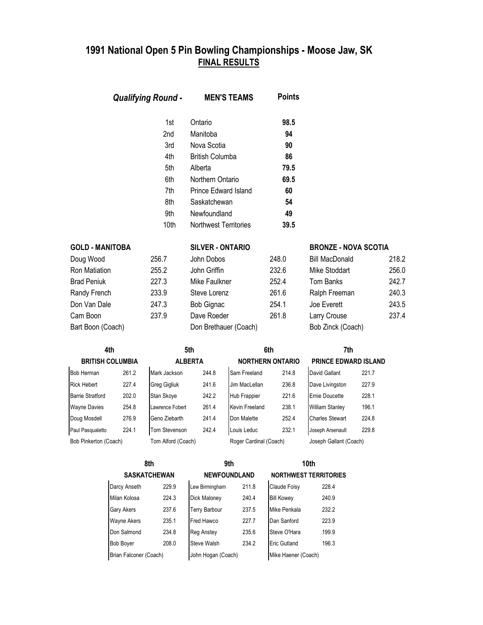| <b>Qualifying Round -</b> | <b>MEN'S TEAMS</b>    | <b>Points</b> |
|---------------------------|-----------------------|---------------|
| 1st                       | Ontario               | 98.5          |
| 2nd                       | Manitoba              | 94            |
| 3rd                       | Nova Scotia           | 90            |
| 4th                       | British Columba       | 86            |
| 5th                       | Alberta               | 79.5          |
| 6th                       | Northern Ontario      | 69.5          |
| 7th                       | Prince Edward Island  | 60            |
| 8th                       | Saskatchewan          | 54            |
| 9th                       | Newfoundland          | 49            |
| 10th                      | Northwest Territories | 39.5          |

| <b>GOLD - MANITOBA</b> |       | <b>SILVER - ONTARIO</b> |       | <b>BRONZE - NOVA SCOTIA</b> |       |
|------------------------|-------|-------------------------|-------|-----------------------------|-------|
| Doug Wood              | 256.7 | John Dobos              | 248.0 | <b>Bill MacDonald</b>       | 218.2 |
| Ron Matiation          | 255.2 | John Griffin            | 232.6 | Mike Stoddart               | 256.0 |
| <b>Brad Peniuk</b>     | 227.3 | Mike Faulkner           | 252.4 | Tom Banks                   | 242.7 |
| Randy French           | 233.9 | Steve Lorenz            | 261.6 | Ralph Freeman               | 240.3 |
| Don Van Dale           | 247.3 | Bob Gignac              | 254.1 | Joe Everett                 | 243.5 |
| Cam Boon               | 237.9 | Dave Roeder             | 261.8 | Larry Crouse                | 237.4 |
| Bart Boon (Coach)      |       | Don Brethauer (Coach)   |       | Bob Zinck (Coach)           |       |

| 4th                     |       | 5th                |       |                         | 6th   |                             | 7th   |  |
|-------------------------|-------|--------------------|-------|-------------------------|-------|-----------------------------|-------|--|
| <b>BRITISH COLUMBIA</b> |       | <b>ALBERTA</b>     |       | <b>NORTHERN ONTARIO</b> |       | <b>PRINCE EDWARD ISLAND</b> |       |  |
| <b>Bob Herman</b>       | 261.2 | Mark Jackson       | 244.8 | Sam Freeland            | 214.8 | David Gallant               | 221.7 |  |
| <b>Rick Hebert</b>      | 227.4 | Greg Gigliuk       | 241.6 | Jim MacLellan           | 236.8 | Dave Livingston             | 227.9 |  |
| <b>Barrie Stratford</b> | 202.0 | Stan Skove         | 242.2 | Hub Frappier            | 221.6 | Ernie Doucette              | 228.1 |  |
| <b>Wayne Davies</b>     | 254.8 | Lawrence Fobert    | 261.4 | Kevin Freeland          | 238.1 | <b>William Stanley</b>      | 196.1 |  |
| Doug Mosdell            | 276.9 | Geno Ziebarth      | 241.4 | Don Malette             | 252.4 | <b>Charles Stewart</b>      | 224.8 |  |
| Paul Pasqualetto        | 224.1 | Tom Stevenson      | 242.4 | Louis Leduc             | 232.1 | Joseph Arsenault            | 229.8 |  |
| Bob Pinkerton (Coach)   |       | Tom Alford (Coach) |       | Roger Cardinal (Coach)  |       | Joseph Gallant (Coach)      |       |  |

| 8th |                        |       | 9th                  |       |                              | 10th  |  |  |
|-----|------------------------|-------|----------------------|-------|------------------------------|-------|--|--|
|     | <b>SASKATCHEWAN</b>    |       | <b>NEWFOUNDLAND</b>  |       | <b>NORTHWEST TERRITORIES</b> |       |  |  |
|     | Darcy Anseth           | 229.9 | Lew Birmingham       | 211.8 | Claude Foisy                 | 228.4 |  |  |
|     | Milan Kolosa           | 224.3 | <b>Dick Maloney</b>  | 240.4 | <b>Bill Kowey</b>            | 240.9 |  |  |
|     | <b>Gary Akers</b>      | 237.6 | <b>Terry Barbour</b> | 237.5 | Mike Penkala                 | 232.2 |  |  |
|     | <b>Wayne Akers</b>     | 235.1 | Fred Hawco           | 227.7 | Dan Sanford                  | 223.9 |  |  |
|     | Don Salmond            | 234.8 | <b>Reg Anstey</b>    | 235.6 | Steve O'Hara                 | 199.9 |  |  |
|     | <b>Bob Boyer</b>       | 208.0 | Steve Walsh          | 234.2 | <b>Eric Gutland</b>          | 196.3 |  |  |
|     | Brian Falconer (Coach) |       | John Hogan (Coach)   |       | Mike Haener (Coach)          |       |  |  |